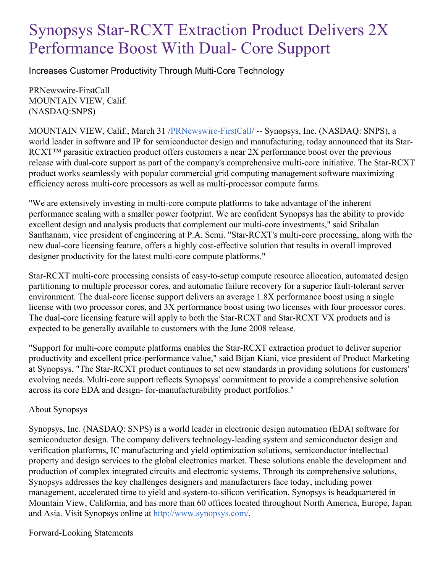## Synopsys Star-RCXT Extraction Product Delivers 2X Performance Boost With Dual- Core Support

Increases Customer Productivity Through Multi-Core Technology

PRNewswire-FirstCall MOUNTAIN VIEW, Calif. (NASDAQ:SNPS)

MOUNTAIN VIEW, Calif., March 31 /[PRNewswire-FirstCall](http://www.prnewswire.com/)/ -- Synopsys, Inc. (NASDAQ: SNPS), a world leader in software and IP for semiconductor design and manufacturing, today announced that its Star-RCXT™ parasitic extraction product offers customers a near 2X performance boost over the previous release with dual-core support as part of the company's comprehensive multi-core initiative. The Star-RCXT product works seamlessly with popular commercial grid computing management software maximizing efficiency across multi-core processors as well as multi-processor compute farms.

"We are extensively investing in multi-core compute platforms to take advantage of the inherent performance scaling with a smaller power footprint. We are confident Synopsys has the ability to provide excellent design and analysis products that complement our multi-core investments," said Sribalan Santhanam, vice president of engineering at P.A. Semi. "Star-RCXT's multi-core processing, along with the new dual-core licensing feature, offers a highly cost-effective solution that results in overall improved designer productivity for the latest multi-core compute platforms."

Star-RCXT multi-core processing consists of easy-to-setup compute resource allocation, automated design partitioning to multiple processor cores, and automatic failure recovery for a superior fault-tolerant server environment. The dual-core license support delivers an average 1.8X performance boost using a single license with two processor cores, and 3X performance boost using two licenses with four processor cores. The dual-core licensing feature will apply to both the Star-RCXT and Star-RCXT VX products and is expected to be generally available to customers with the June 2008 release.

"Support for multi-core compute platforms enables the Star-RCXT extraction product to deliver superior productivity and excellent price-performance value," said Bijan Kiani, vice president of Product Marketing at Synopsys. "The Star-RCXT product continues to set new standards in providing solutions for customers' evolving needs. Multi-core support reflects Synopsys' commitment to provide a comprehensive solution across its core EDA and design- for-manufacturability product portfolios."

## About Synopsys

Synopsys, Inc. (NASDAQ: SNPS) is a world leader in electronic design automation (EDA) software for semiconductor design. The company delivers technology-leading system and semiconductor design and verification platforms, IC manufacturing and yield optimization solutions, semiconductor intellectual property and design services to the global electronics market. These solutions enable the development and production of complex integrated circuits and electronic systems. Through its comprehensive solutions, Synopsys addresses the key challenges designers and manufacturers face today, including power management, accelerated time to yield and system-to-silicon verification. Synopsys is headquartered in Mountain View, California, and has more than 60 offices located throughout North America, Europe, Japan and Asia. Visit Synopsys online at <http://www.synopsys.com/>.

Forward-Looking Statements